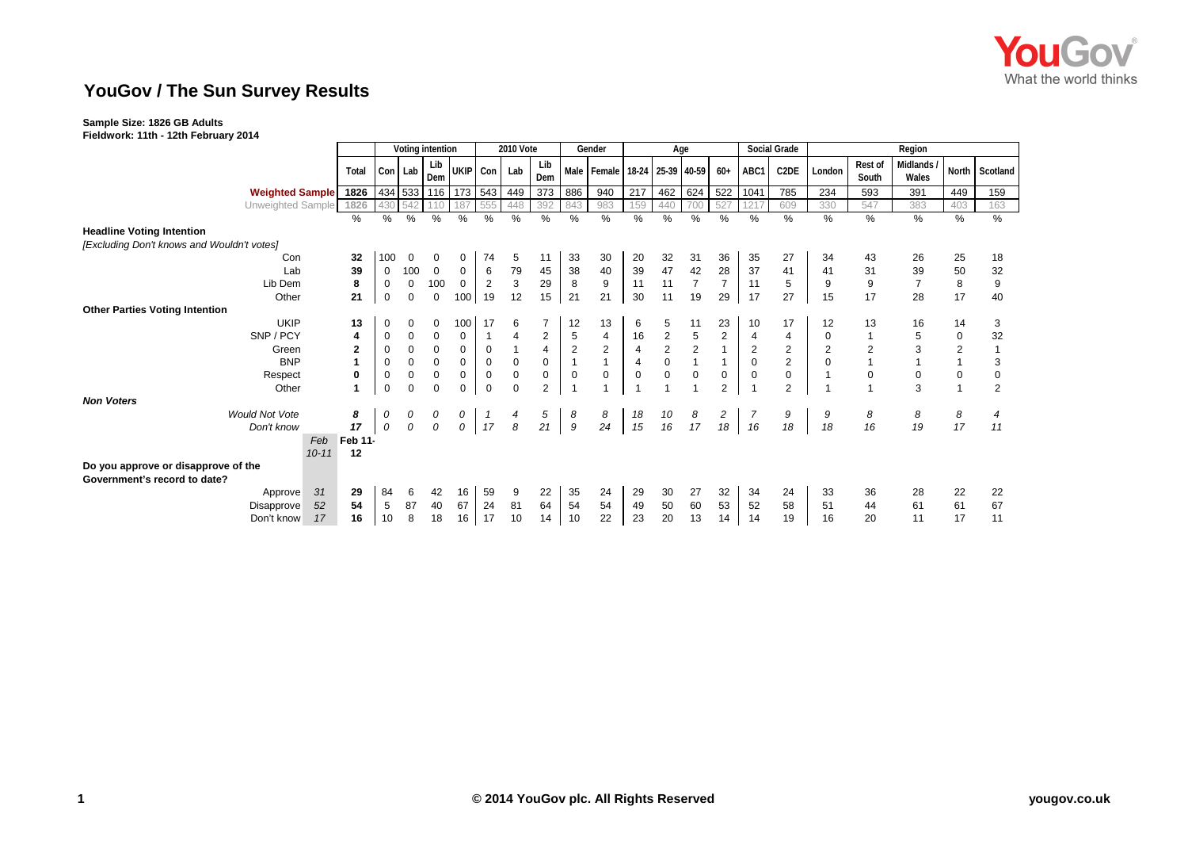

## **YouGov / The Sun Survey Results**

## **Sample Size: 1826 GB Adults**

**Fieldwork: 11th - 12th February 2014**

|                                            |                 | Voting intention |             |              |                     | <b>2010 Vote</b> |             |                | Gender         |                               | Age            |                |                |                |                | Social Grade      | Region   |                  |                          |                |                |
|--------------------------------------------|-----------------|------------------|-------------|--------------|---------------------|------------------|-------------|----------------|----------------|-------------------------------|----------------|----------------|----------------|----------------|----------------|-------------------|----------|------------------|--------------------------|----------------|----------------|
|                                            | Total           |                  | Con Lab     | Lib<br>Dem   | UKIP Con Lab        |                  |             | Lib<br>Dem     |                | Male Female 18-24 25-39 40-59 |                |                |                | $60+$          | ABC1           | C <sub>2</sub> DE | London   | Rest of<br>South | <b>Midlands</b><br>Wales |                | North Scotland |
| <b>Weighted Sample</b>                     | 1826            |                  |             |              | 434 533 116 173 543 |                  | 449         | 373            | 886            | 940                           | 217            | 462            | 624            | 522            | 1041           | 785               | 234      | 593              | 391                      | 449            | 159            |
| Unweighted Sample                          | 1826            | 430              |             |              | 187                 |                  | 448         | 392            | 843            | 983                           | 159            | 440            | 700            | 527            | 1217           | 609               | 330      | 547              | 383                      | 403            | 163            |
|                                            | $\%$            | %                | %           | $\%$         | %                   | $\%$             | $\%$        | $\%$           | $\frac{0}{0}$  | $\frac{0}{0}$                 | $\%$           | %              | $\%$           | $\frac{0}{0}$  | $\%$           | %                 | %        | %                | %                        | %              | $\%$           |
| <b>Headline Voting Intention</b>           |                 |                  |             |              |                     |                  |             |                |                |                               |                |                |                |                |                |                   |          |                  |                          |                |                |
| [Excluding Don't knows and Wouldn't votes] |                 |                  |             |              |                     |                  |             |                |                |                               |                |                |                |                |                |                   |          |                  |                          |                |                |
| Con                                        | 32              | 100              | 0           | 0            | 0                   | 74               | 5           | 11             | 33             | 30                            | 20             | 32             | 31             | 36             | 35             | 27                | 34       | 43               | 26                       | 25             | 18             |
| Lab                                        | 39              | 0                | 100         | $\mathbf{0}$ | $\mathbf 0$         | 6                | 79          | 45             | 38             | 40                            | 39             | 47             | 42             | 28             | 37             | 41                | 41       | 31               | 39                       | 50             | 32             |
| Lib Dem                                    | 8               | 0                | $\mathbf 0$ | 100          | 0                   | $\overline{2}$   | 3           | 29             | 8              | 9                             | 11             | 11             | $\overline{7}$ | $\overline{7}$ | 11             | 5                 | 9        | 9                |                          | 8              | 9              |
| Other                                      | 21              | $\mathbf 0$      | $\mathbf 0$ | $\mathsf 0$  | 100                 | 19               | 12          | 15             | 21             | 21                            | 30             | 11             | 19             | 29             | 17             | 27                | 15       | 17               | 28                       | 17             | 40             |
| <b>Other Parties Voting Intention</b>      |                 |                  |             |              |                     |                  |             |                |                |                               |                |                |                |                |                |                   |          |                  |                          |                |                |
| <b>UKIP</b>                                | 13              | 0                | 0           | 0            | 100                 | 17               | 6           |                | 12             | 13                            | 6              | 5              | 11             | 23             | 10             | 17                | 12       | 13               | 16                       | 14             | 3              |
| SNP / PCY                                  | 4               | 0                | 0           | 0            | 0                   |                  |             | $\overline{c}$ | 5              | 4                             | 16             | $\overline{2}$ | $\sqrt{5}$     | $\overline{c}$ | 4              | 4                 | 0        |                  | 5                        | $\mathbf 0$    | 32             |
| Green                                      | $\overline{2}$  | 0                | $\mathbf 0$ | $\mathbf 0$  | $\mathbf 0$         | $\mathbf 0$      |             | $\overline{4}$ | $\overline{2}$ | $\overline{2}$                | $\overline{4}$ | $\overline{2}$ | $\overline{c}$ |                | $\overline{2}$ | $\mathbf{2}$      |          |                  | 3                        | $\overline{2}$ |                |
| <b>BNP</b>                                 | 1               | 0                | 0           | 0            | $\mathbf 0$         | $\mathbf 0$      | $\mathbf 0$ | $\mathbf 0$    |                | $\mathbf{1}$                  | $\overline{4}$ | $\mathbf 0$    | $\mathbf{1}$   | $\mathbf{1}$   | $\mathbf 0$    | $\mathbf{2}$      | $\Omega$ |                  |                          |                | 3              |
| Respect                                    | 0               | 0                | $\mathbf 0$ | $\mathbf 0$  | $\mathbf 0$         | $\mathbf 0$      | $\mathbf 0$ | $\mathbf 0$    | $\mathbf 0$    | $\mathbf 0$                   | 0              | $\mathbf 0$    | $\pmb{0}$      | 0              | $\mathbf 0$    | $\mathsf 0$       |          | 0                | 0                        | $\mathbf 0$    | $\mathbf 0$    |
| Other                                      | 1               | $\mathbf 0$      | $\mathbf 0$ | $\mathbf 0$  | $\Omega$            | $\Omega$         | $\Omega$    | $\overline{2}$ |                |                               |                |                |                | $\overline{2}$ |                | $\overline{2}$    |          |                  | 3                        | 1              | $\overline{2}$ |
| <b>Non Voters</b>                          |                 |                  |             |              |                     |                  |             |                |                |                               |                |                |                |                |                |                   |          |                  |                          |                |                |
| <b>Would Not Vote</b>                      | 8               | 0                | 0           | 0            | 0                   |                  |             | 5              | 8              | 8                             | 18             | 10             | 8              | $\overline{c}$ |                | 9                 | 9        | 8                | 8                        | 8              |                |
| Don't know                                 | 17              | 0                | 0           | 0            | 0                   | 17               | 8           | 21             | 9              | 24                            | 15             | 16             | 17             | 18             | 16             | 18                | 18       | 16               | 19                       | 17             | 11             |
|                                            | Feb 11-<br>Feb  |                  |             |              |                     |                  |             |                |                |                               |                |                |                |                |                |                   |          |                  |                          |                |                |
|                                            | $10 - 11$<br>12 |                  |             |              |                     |                  |             |                |                |                               |                |                |                |                |                |                   |          |                  |                          |                |                |
| Do you approve or disapprove of the        |                 |                  |             |              |                     |                  |             |                |                |                               |                |                |                |                |                |                   |          |                  |                          |                |                |
| Government's record to date?               |                 |                  |             |              |                     |                  |             |                |                |                               |                |                |                |                |                |                   |          |                  |                          |                |                |
| Approve                                    | 31<br>29        | 84               | 6           | 42           | 16                  | 59               | 9           | 22             | 35             | 24                            | 29             | 30             | 27             | 32             | 34             | 24                | 33       | 36               | 28                       | 22             | 22             |
| Disapprove                                 | 54<br>52        | 5                | 87          | 40           | 67                  | 24               | 81          | 64             | 54             | 54                            | 49             | 50             | 60             | 53             | 52             | 58                | 51       | 44               | 61                       | 61             | 67             |
| Don't know                                 | 17<br>16        | 10               | 8           | 18           | 16                  | 17               | 10          | 14             | 10             | 22                            | 23             | 20             | 13             | 14             | 14             | 19                | 16       | 20               | 11                       | 17             | 11             |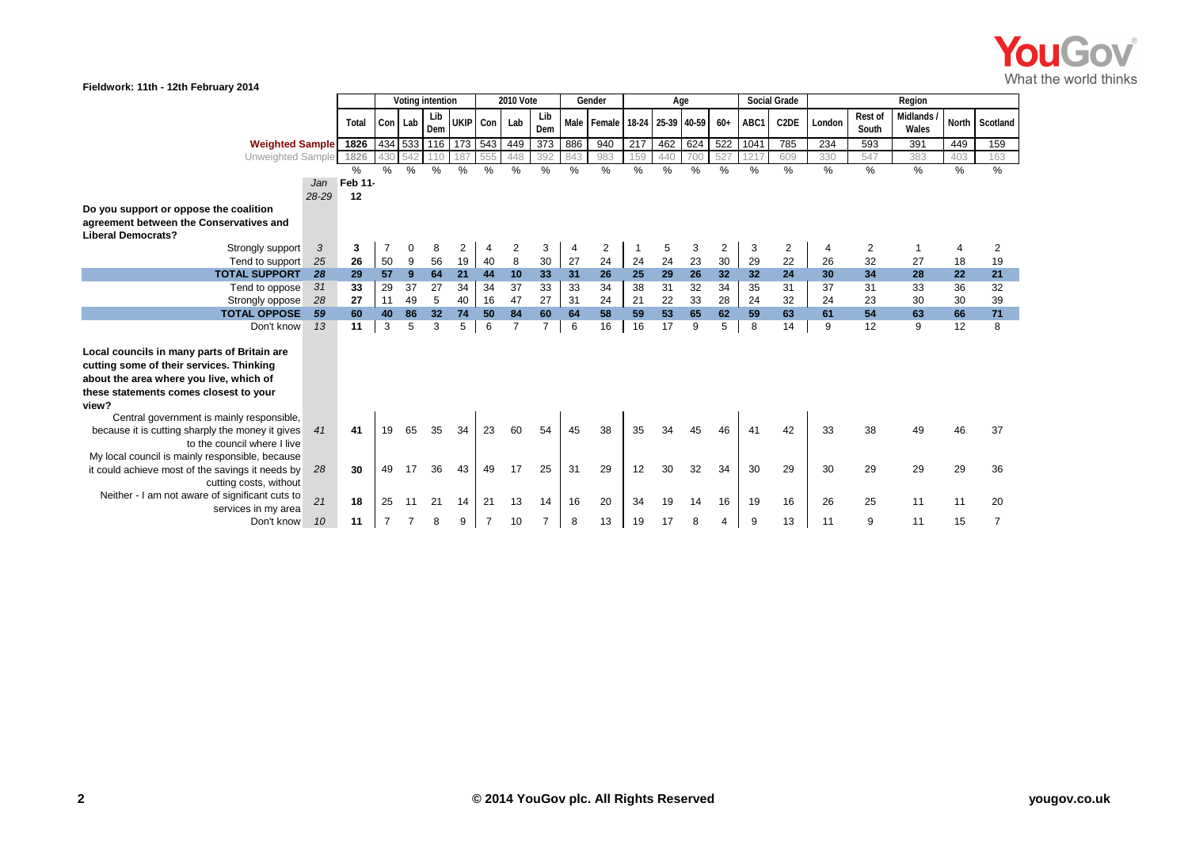

| VV.<br>Fieldwork: 11th - 12th February 2014                          |       |         |                  |                  |                  |               |                |                |                |     |                               |     |     |               |               |      |                   |        |                         |                   |               |               |
|----------------------------------------------------------------------|-------|---------|------------------|------------------|------------------|---------------|----------------|----------------|----------------|-----|-------------------------------|-----|-----|---------------|---------------|------|-------------------|--------|-------------------------|-------------------|---------------|---------------|
|                                                                      |       |         | Voting intention |                  | <b>2010 Vote</b> |               | Gender         |                | Age            |     |                               |     |     | Social Grade  | Region        |      |                   |        |                         |                   |               |               |
|                                                                      |       | Total   | Con              | Lab              | Lib<br>Dem       | UKIP Con      |                | Lab            | Lib<br>Dem     |     | Male Female 18-24 25-39 40-59 |     |     |               | $60+$         | ABC1 | C <sub>2</sub> DE | London | <b>Rest of</b><br>South | Midlands<br>Wales | North         | Scotland      |
| <b>Weighted Sample</b>                                               |       | 1826    |                  |                  | 434 533 116      | 173 543       |                | 449            | 373            | 886 | 940                           | 217 | 462 | 624           | 522           | 1041 | 785               | 234    | 593                     | 391               | 449           | 159           |
| Unweighted Sample                                                    |       | 1826    | 430              | 542              | 110              | 187           | 555            | 448            | 392            | 843 | 983                           | 159 | 440 | 700           | 527           | 1217 | 609               | 330    | 547                     | 383               | 403           | 163           |
|                                                                      |       | $\%$    | $\frac{0}{0}$    | $\frac{0}{0}$    | $\frac{0}{0}$    | $\frac{0}{0}$ | $\%$           | $\frac{0}{0}$  | $\frac{1}{2}$  | %   | $\frac{1}{6}$                 | %   | %   | $\frac{0}{0}$ | $\frac{0}{0}$ | $\%$ | %                 | %      | $\frac{9}{6}$           | $\frac{0}{6}$     | $\frac{9}{6}$ | $\frac{9}{6}$ |
|                                                                      | Jan   | Feb 11- |                  |                  |                  |               |                |                |                |     |                               |     |     |               |               |      |                   |        |                         |                   |               |               |
|                                                                      | 28-29 | 12      |                  |                  |                  |               |                |                |                |     |                               |     |     |               |               |      |                   |        |                         |                   |               |               |
| Do you support or oppose the coalition                               |       |         |                  |                  |                  |               |                |                |                |     |                               |     |     |               |               |      |                   |        |                         |                   |               |               |
| agreement between the Conservatives and<br><b>Liberal Democrats?</b> |       |         |                  |                  |                  |               |                |                |                |     |                               |     |     |               |               |      |                   |        |                         |                   |               |               |
| Strongly support                                                     | 3     | 3       |                  | $\mathbf 0$      | 8                | 2             | 4              | 2              | 3              |     | 2                             |     | 5   | 3             | 2             | 3    | 2                 |        | 2                       | -1                | 4             | 2             |
| Tend to support                                                      | 25    | 26      | 50               | $\boldsymbol{9}$ | 56               | 19            | 40             | 8              | 30             | 27  | 24                            | 24  | 24  | 23            | 30            | 29   | 22                | 26     | 32                      | 27                | 18            | 19            |
| <b>TOTAL SUPPORT</b>                                                 | 28    | 29      | 57               | 9                | 64               | 21            | 44             | 10             | 33             | 31  | 26                            | 25  | 29  | 26            | 32            | 32   | 24                | 30     | 34                      | 28                | 22            | 21            |
| Tend to oppose                                                       | 31    | 33      | 29               | 37               | 27               | 34            | 34             | 37             | 33             | 33  | 34                            | 38  | 31  | 32            | 34            | 35   | 31                | 37     | 31                      | 33                | 36            | 32            |
| Strongly oppose                                                      | 28    | 27      | 11               | 49               | $5\phantom{.0}$  | 40            | 16             | 47             | 27             | 31  | 24                            | 21  | 22  | 33            | 28            | 24   | 32                | 24     | 23                      | 30                | 30            | 39            |
| <b>TOTAL OPPOSE</b>                                                  | 59    | 60      | 40               | 86               | 32               | 74            | 50             | 84             | 60             | 64  | 58                            | 59  | 53  | 65            | 62            | 59   | 63                | 61     | 54                      | 63                | 66            | 71            |
| Don't know                                                           | 13    | 11      | 3                | 5                | 3                | 5             | 6              | $\overline{7}$ | $\overline{7}$ | 6   | 16                            | 16  | 17  | 9             | 5             | 8    | 14                | 9      | 12                      | 9                 | 12            | 8             |
| Local councils in many parts of Britain are                          |       |         |                  |                  |                  |               |                |                |                |     |                               |     |     |               |               |      |                   |        |                         |                   |               |               |
| cutting some of their services. Thinking                             |       |         |                  |                  |                  |               |                |                |                |     |                               |     |     |               |               |      |                   |        |                         |                   |               |               |
| about the area where you live, which of                              |       |         |                  |                  |                  |               |                |                |                |     |                               |     |     |               |               |      |                   |        |                         |                   |               |               |
| these statements comes closest to your                               |       |         |                  |                  |                  |               |                |                |                |     |                               |     |     |               |               |      |                   |        |                         |                   |               |               |
| view?                                                                |       |         |                  |                  |                  |               |                |                |                |     |                               |     |     |               |               |      |                   |        |                         |                   |               |               |
| Central government is mainly responsible,                            |       |         |                  |                  |                  |               |                |                |                |     |                               |     |     |               |               |      |                   |        |                         |                   |               |               |
| because it is cutting sharply the money it gives                     | 41    | 41      | 19               |                  | 35               | 34            | 23             | 60             | 54             | 45  | 38                            | 35  | 34  | 45            | 46            | 41   | 42                | 33     | 38                      | 49                | 46            | 37            |
| to the council where I live                                          |       |         |                  |                  |                  |               |                |                |                |     |                               |     |     |               |               |      |                   |        |                         |                   |               |               |
| My local council is mainly responsible, because                      |       |         |                  |                  |                  |               |                |                |                |     |                               |     |     |               |               |      |                   |        |                         |                   |               |               |
| it could achieve most of the savings it needs by                     | 28    | 30      | 49               | 17               | 36               | 43            | 49             | 17             | 25             | 31  | 29                            | 12  | 30  | 32            | 34            | 30   | 29                | 30     | 29                      | 29                | 29            | 36            |
| cutting costs, without                                               |       |         |                  |                  |                  |               |                |                |                |     |                               |     |     |               |               |      |                   |        |                         |                   |               |               |
| Neither - I am not aware of significant cuts to                      | 21    | 18      | 25               | 11               | 21               | 14            | 21             | 13             | 14             | 16  | 20                            | 34  | 19  | 14            | 16            | 19   | 16                | 26     | 25                      | 11                | 11            | 20            |
| services in my area                                                  |       |         | $\overline{7}$   | 7                |                  |               |                |                |                |     |                               |     |     |               |               |      |                   |        |                         |                   |               |               |
| Don't know                                                           | 10    | 11      |                  |                  | 8                | 9             | $\overline{7}$ | 10             |                | 8   | 13                            | 19  | 17  | 8             | 4             | 9    | 13                | 11     | 9                       | 11                | 15            |               |